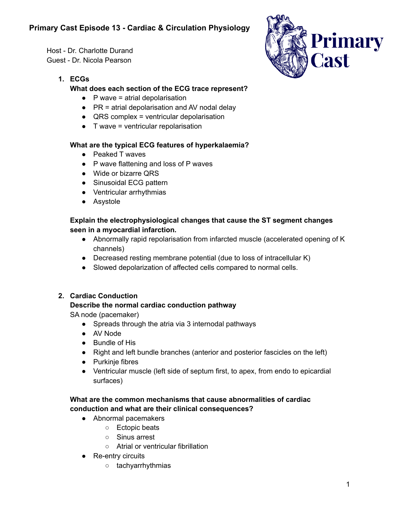# **Primary Cast Episode 13 - Cardiac & Circulation Physiology**

Host - Dr. Charlotte Durand Guest - Dr. Nicola Pearson

# **1. ECGs**

# **What does each section of the ECG trace represent?**

- $\bullet$  P wave = atrial depolarisation
- $\bullet$  PR = atrial depolarisation and AV nodal delay
- $\bullet$  QRS complex = ventricular depolarisation
- $\bullet$  T wave = ventricular repolarisation

# **What are the typical ECG features of hyperkalaemia?**

- Peaked T waves
- P wave flattening and loss of P waves
- Wide or bizarre QRS
- Sinusoidal ECG pattern
- Ventricular arrhythmias
- Asystole

# **Explain the electrophysiological changes that cause the ST segment changes seen in a myocardial infarction.**

- Abnormally rapid repolarisation from infarcted muscle (accelerated opening of K channels)
- Decreased resting membrane potential (due to loss of intracellular K)
- Slowed depolarization of affected cells compared to normal cells.

# **2. Cardiac Conduction**

# **Describe the normal cardiac conduction pathway**

SA node (pacemaker)

- Spreads through the atria via 3 internodal pathways
- AV Node
- Bundle of His
- Right and left bundle branches (anterior and posterior fascicles on the left)
- Purkinje fibres
- Ventricular muscle (left side of septum first, to apex, from endo to epicardial surfaces)

# **What are the common mechanisms that cause abnormalities of cardiac conduction and what are their clinical consequences?**

- Abnormal pacemakers
	- Ectopic beats
	- Sinus arrest
	- Atrial or ventricular fibrillation
- Re-entry circuits
	- tachyarrhythmias

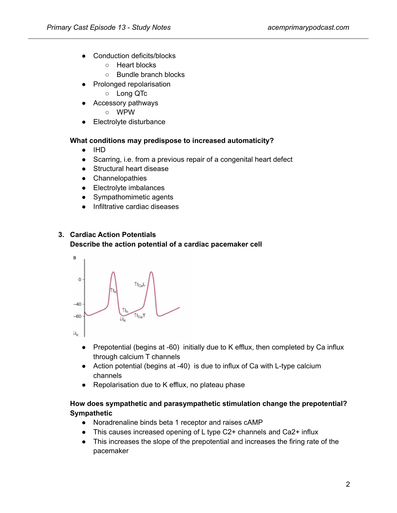- Conduction deficits/blocks
	- Heart blocks
	- Bundle branch blocks
- Prolonged repolarisation
	- Long QTc
- Accessory pathways
	- WPW
- Electrolyte disturbance

# **What conditions may predispose to increased automaticity?**

- IHD
- Scarring, i.e. from a previous repair of a congenital heart defect
- Structural heart disease
- Channelopathies
- Electrolyte imbalances
- Sympathomimetic agents
- Infiltrative cardiac diseases

# **3. Cardiac Action Potentials**

## **Describe the action potential of a cardiac pacemaker cell**



- Prepotential (begins at -60) initially due to K efflux, then completed by Ca influx through calcium T channels
- Action potential (begins at -40) is due to influx of Ca with L-type calcium channels
- Repolarisation due to K efflux, no plateau phase

# **How does sympathetic and parasympathetic stimulation change the prepotential? Sympathetic**

- Noradrenaline binds beta 1 receptor and raises cAMP
- This causes increased opening of L type C2+ channels and Ca2+ influx
- This increases the slope of the prepotential and increases the firing rate of the pacemaker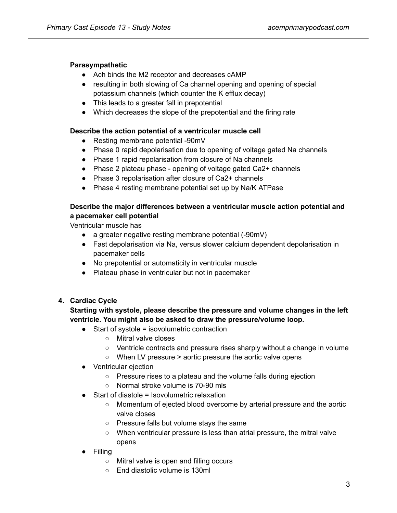## **Parasympathetic**

- Ach binds the M2 receptor and decreases cAMP
- resulting in both slowing of Ca channel opening and opening of special potassium channels (which counter the K efflux decay)
- This leads to a greater fall in prepotential
- Which decreases the slope of the prepotential and the firing rate

## **Describe the action potential of a ventricular muscle cell**

- Resting membrane potential -90mV
- Phase 0 rapid depolarisation due to opening of voltage gated Na channels
- Phase 1 rapid repolarisation from closure of Na channels
- Phase 2 plateau phase opening of voltage gated Ca2+ channels
- Phase 3 repolarisation after closure of Ca2+ channels
- Phase 4 resting membrane potential set up by Na/K ATPase

## **Describe the major differences between a ventricular muscle action potential and a pacemaker cell potential**

Ventricular muscle has

- a greater negative resting membrane potential (-90mV)
- Fast depolarisation via Na, versus slower calcium dependent depolarisation in pacemaker cells
- No prepotential or automaticity in ventricular muscle
- Plateau phase in ventricular but not in pacemaker

# **4. Cardiac Cycle**

## **Starting with systole, please describe the pressure and volume changes in the left ventricle. You might also be asked to draw the pressure/volume loop.**

- Start of systole = isovolumetric contraction
	- Mitral valve closes
	- Ventricle contracts and pressure rises sharply without a change in volume
	- When LV pressure > aortic pressure the aortic valve opens
- Ventricular ejection
	- Pressure rises to a plateau and the volume falls during ejection
	- Normal stroke volume is 70-90 mls
- Start of diastole = Isovolumetric relaxation
	- Momentum of ejected blood overcome by arterial pressure and the aortic valve closes
	- Pressure falls but volume stays the same
	- When ventricular pressure is less than atrial pressure, the mitral valve opens
- Filling
	- Mitral valve is open and filling occurs
	- End diastolic volume is 130ml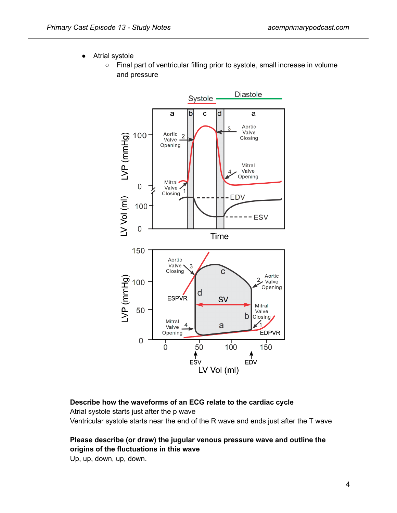- Atrial systole
	- Final part of ventricular filling prior to systole, small increase in volume and pressure



## **Describe how the waveforms of an ECG relate to the cardiac cycle**

Atrial systole starts just after the p wave Ventricular systole starts near the end of the R wave and ends just after the T wave

# **Please describe (or draw) the jugular venous pressure wave and outline the origins of the fluctuations in this wave**

Up, up, down, up, down.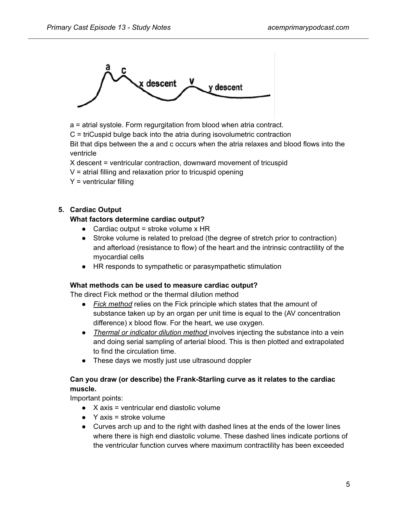

a = atrial systole. Form regurgitation from blood when atria contract.

C = triCuspid bulge back into the atria during isovolumetric contraction

Bit that dips between the a and c occurs when the atria relaxes and blood flows into the ventricle

X descent = ventricular contraction, downward movement of tricuspid

 $V =$  atrial filling and relaxation prior to tricuspid opening

 $Y =$  ventricular filling

## **5. Cardiac Output**

## **What factors determine cardiac output?**

- Cardiac output = stroke volume  $x$  HR
- Stroke volume is related to preload (the degree of stretch prior to contraction) and afterload (resistance to flow) of the heart and the intrinsic contractility of the myocardial cells
- HR responds to sympathetic or parasympathetic stimulation

## **What methods can be used to measure cardiac output?**

The direct Fick method or the thermal dilution method

- *Fick method* relies on the Fick principle which states that the amount of substance taken up by an organ per unit time is equal to the (AV concentration difference) x blood flow. For the heart, we use oxygen.
- *Thermal or indicator dilution method* involves injecting the substance into a vein and doing serial sampling of arterial blood. This is then plotted and extrapolated to find the circulation time.
- These days we mostly just use ultrasound doppler

## **Can you draw (or describe) the Frank-Starling curve as it relates to the cardiac muscle.**

Important points:

- $\bullet$  X axis = ventricular end diastolic volume
- $\bullet$  Y axis = stroke volume
- Curves arch up and to the right with dashed lines at the ends of the lower lines where there is high end diastolic volume. These dashed lines indicate portions of the ventricular function curves where maximum contractility has been exceeded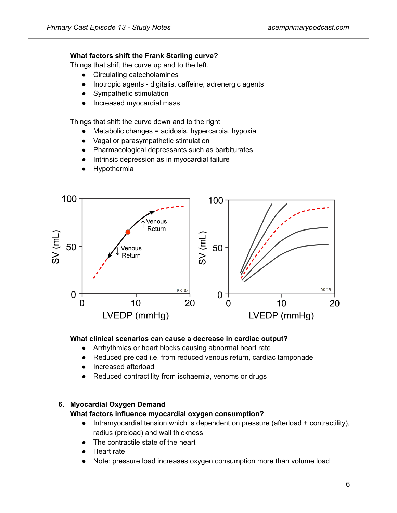## **What factors shift the Frank Starling curve?**

Things that shift the curve up and to the left.

- Circulating catecholamines
- Inotropic agents digitalis, caffeine, adrenergic agents
- Sympathetic stimulation
- Increased myocardial mass

Things that shift the curve down and to the right

- $\bullet$  Metabolic changes = acidosis, hypercarbia, hypoxia
- Vagal or parasympathetic stimulation
- Pharmacological depressants such as barbiturates
- Intrinsic depression as in myocardial failure
- Hypothermia



#### **What clinical scenarios can cause a decrease in cardiac output?**

- Arrhythmias or heart blocks causing abnormal heart rate
- Reduced preload i.e. from reduced venous return, cardiac tamponade
- Increased afterload
- Reduced contractility from ischaemia, venoms or drugs

## **6. Myocardial Oxygen Demand**

## **What factors influence myocardial oxygen consumption?**

- Intramyocardial tension which is dependent on pressure (afterload + contractility), radius (preload) and wall thickness
- The contractile state of the heart
- Heart rate
- Note: pressure load increases oxygen consumption more than volume load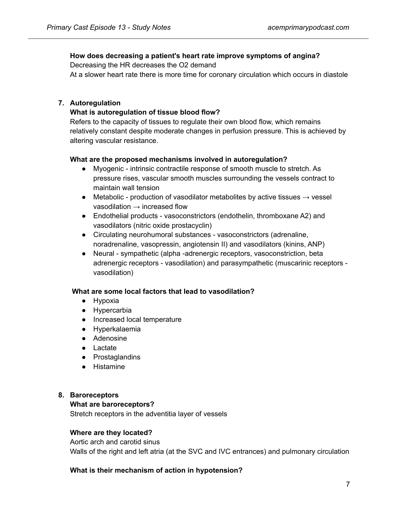# **How does decreasing a patient's heart rate improve symptoms of angina?**

Decreasing the HR decreases the O2 demand

At a slower heart rate there is more time for coronary circulation which occurs in diastole

## **7. Autoregulation**

# **What is autoregulation of tissue blood flow?**

Refers to the capacity of tissues to regulate their own blood flow, which remains relatively constant despite moderate changes in perfusion pressure. This is achieved by altering vascular resistance.

## **What are the proposed mechanisms involved in autoregulation?**

- Myogenic intrinsic contractile response of smooth muscle to stretch. As pressure rises, vascular smooth muscles surrounding the vessels contract to maintain wall tension
- Metabolic production of vasodilator metabolites by active tissues  $\rightarrow$  vessel vasodilation  $\rightarrow$  increased flow
- Endothelial products vasoconstrictors (endothelin, thromboxane A2) and vasodilators (nitric oxide prostacyclin)
- Circulating neurohumoral substances vasoconstrictors (adrenaline, noradrenaline, vasopressin, angiotensin II) and vasodilators (kinins, ANP)
- Neural sympathetic (alpha -adrenergic receptors, vasoconstriction, beta adrenergic receptors - vasodilation) and parasympathetic (muscarinic receptors vasodilation)

## **What are some local factors that lead to vasodilation?**

- Hypoxia
- Hypercarbia
- Increased local temperature
- Hyperkalaemia
- Adenosine
- Lactate
- Prostaglandins
- Histamine

## **8. Baroreceptors**

# **What are baroreceptors?**

Stretch receptors in the adventitia layer of vessels

## **Where are they located?**

Aortic arch and carotid sinus Walls of the right and left atria (at the SVC and IVC entrances) and pulmonary circulation

# **What is their mechanism of action in hypotension?**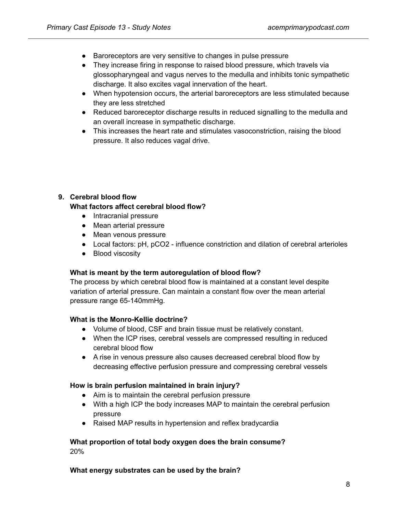- Baroreceptors are very sensitive to changes in pulse pressure
- They increase firing in response to raised blood pressure, which travels via glossopharyngeal and vagus nerves to the medulla and inhibits tonic sympathetic discharge. It also excites vagal innervation of the heart.
- When hypotension occurs, the arterial baroreceptors are less stimulated because they are less stretched
- Reduced baroreceptor discharge results in reduced signalling to the medulla and an overall increase in sympathetic discharge.
- This increases the heart rate and stimulates vasoconstriction, raising the blood pressure. It also reduces vagal drive.

## **9. Cerebral blood flow**

## **What factors affect cerebral blood flow?**

- Intracranial pressure
- Mean arterial pressure
- Mean venous pressure
- Local factors: pH, pCO2 influence constriction and dilation of cerebral arterioles
- Blood viscosity

## **What is meant by the term autoregulation of blood flow?**

The process by which cerebral blood flow is maintained at a constant level despite variation of arterial pressure. Can maintain a constant flow over the mean arterial pressure range 65-140mmHg.

## **What is the Monro-Kellie doctrine?**

- Volume of blood, CSF and brain tissue must be relatively constant.
- When the ICP rises, cerebral vessels are compressed resulting in reduced cerebral blood flow
- A rise in venous pressure also causes decreased cerebral blood flow by decreasing effective perfusion pressure and compressing cerebral vessels

## **How is brain perfusion maintained in brain injury?**

- Aim is to maintain the cerebral perfusion pressure
- With a high ICP the body increases MAP to maintain the cerebral perfusion pressure
- Raised MAP results in hypertension and reflex bradycardia

## **What proportion of total body oxygen does the brain consume?** 20%

## **What energy substrates can be used by the brain?**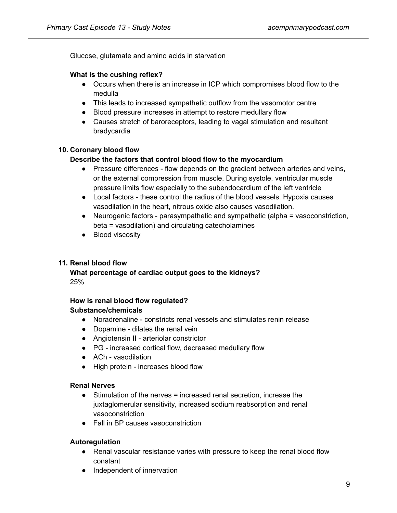Glucose, glutamate and amino acids in starvation

## **What is the cushing reflex?**

- Occurs when there is an increase in ICP which compromises blood flow to the medulla
- This leads to increased sympathetic outflow from the vasomotor centre
- Blood pressure increases in attempt to restore medullary flow
- Causes stretch of baroreceptors, leading to vagal stimulation and resultant bradycardia

## **10. Coronary blood flow**

## **Describe the factors that control blood flow to the myocardium**

- Pressure differences flow depends on the gradient between arteries and veins, or the external compression from muscle. During systole, ventricular muscle pressure limits flow especially to the subendocardium of the left ventricle
- Local factors these control the radius of the blood vessels. Hypoxia causes vasodilation in the heart, nitrous oxide also causes vasodilation.
- Neurogenic factors parasympathetic and sympathetic (alpha = vasoconstriction, beta = vasodilation) and circulating catecholamines
- Blood viscosity

# **11. Renal blood flow**

**What percentage of cardiac output goes to the kidneys?** 25%

## **How is renal blood flow regulated?**

## **Substance/chemicals**

- Noradrenaline constricts renal vessels and stimulates renin release
- Dopamine dilates the renal vein
- Angiotensin II arteriolar constrictor
- PG increased cortical flow, decreased medullary flow
- ACh vasodilation
- High protein increases blood flow

## **Renal Nerves**

- Stimulation of the nerves = increased renal secretion, increase the juxtaglomerular sensitivity, increased sodium reabsorption and renal vasoconstriction
- Fall in BP causes vasoconstriction

## **Autoregulation**

- Renal vascular resistance varies with pressure to keep the renal blood flow constant
- Independent of innervation